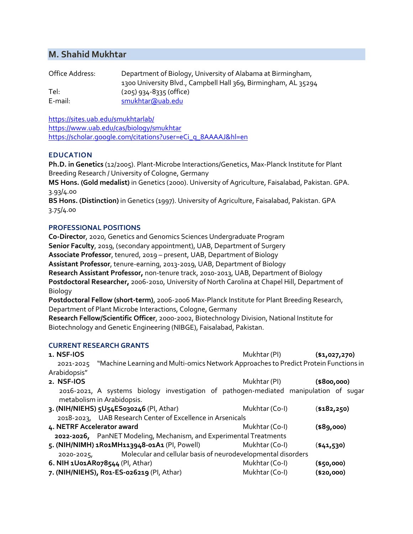# **M. Shahid Mukhtar**

| Office Address: | Department of Biology, University of Alabama at Birmingham,    |
|-----------------|----------------------------------------------------------------|
|                 | 1300 University Blvd., Campbell Hall 369, Birmingham, AL 35294 |
| Tel:            | $(205)$ 934-8335 (office)                                      |
| E-mail:         | smukhtar@uab.edu                                               |

<https://sites.uab.edu/smukhtarlab/> <https://www.uab.edu/cas/biology/smukhtar> https://scholar.google.com/citations?user=eCi\_q\_8AAAAJ&hl=en

## **EDUCATION**

**Ph.D. in Genetics** (12/2005). Plant-Microbe Interactions/Genetics, Max-Planck Institute for Plant Breeding Research / University of Cologne, Germany

**MS Hons. (Gold medalist)** in Genetics (2000). University of Agriculture, Faisalabad, Pakistan. GPA. 3.93/4.00

**BS Hons. (Distinction)** in Genetics (1997). University of Agriculture, Faisalabad, Pakistan. GPA 3.75/4.00

## **PROFESSIONAL POSITIONS**

**Co-Director**, 2020, Genetics and Genomics Sciences Undergraduate Program **Senior Faculty**, 2019, (secondary appointment), UAB, Department of Surgery **Associate Professor**, tenured, 2019 – present, UAB, Department of Biology **Assistant Professor**, tenure-earning, 2013-2019, UAB, Department of Biology **Research Assistant Professor,** non-tenure track, 2010-2013, UAB, Department of Biology **Postdoctoral Researcher,** 2006-2010, University of North Carolina at Chapel Hill, Department of Biology

**Postdoctoral Fellow (short-term)**, 2006-2006 Max-Planck Institute for Plant Breeding Research, Department of Plant Microbe Interactions, Cologne, Germany

**Research Fellow/Scientific Officer**, 2000-2002, Biotechnology Division, National Institute for Biotechnology and Genetic Engineering (NIBGE), Faisalabad, Pakistan.

## **CURRENT RESEARCH GRANTS**

| 1. NSF-IOS                                                                                                          | Mukhtar (PI)   | $($ \$1,027,270) |
|---------------------------------------------------------------------------------------------------------------------|----------------|------------------|
| "Machine Learning and Multi-omics Network Approaches to Predict Protein Functions in<br>2021-2025                   |                |                  |
| Arabidopsis"                                                                                                        |                |                  |
| 2. NSF-IOS                                                                                                          | Mukhtar (PI)   | (\$800,000)      |
| 2016-2021, A systems biology investigation of pathogen-mediated manipulation of sugar<br>metabolism in Arabidopsis. |                |                  |
| 3. (NIH/NIEHS) 5U54ES030246 (PI, Athar)                                                                             | Mukhtar (Co-I) | ( \$182, 250)    |
| 2018-2023, UAB Research Center of Excellence in Arsenicals                                                          |                |                  |
| 4. NETRF Accelerator award                                                                                          | Mukhtar (Co-I) | (\$89,000)       |
| 2022-2026, PanNET Modeling, Mechanism, and Experimental Treatments                                                  |                |                  |
| 5. (NIH/NIMH) 1R01MH113948-01A1 (PI, Powell)                                                                        | Mukhtar (Co-I) | ( \$41,530)      |
| Molecular and cellular basis of neurodevelopmental disorders<br>2020-2025,                                          |                |                  |
| 6. NIH 1U01AR078544 (PI, Athar)                                                                                     | Mukhtar (Co-I) | (\$50,000)       |
| 7. (NIH/NIEHS), Ro1-ES-026219 (PI, Athar)                                                                           | Mukhtar (Co-I) | (\$20,000)       |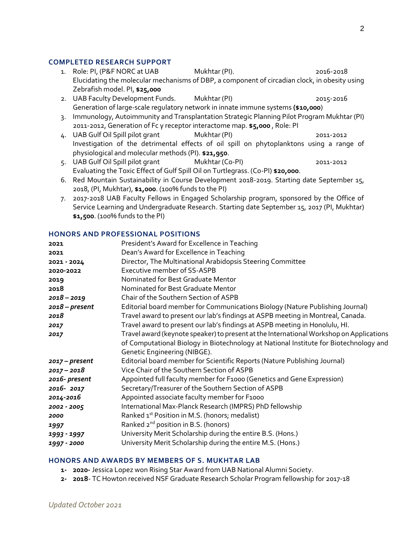#### **COMPLETED RESEARCH SUPPORT**

- 1. Role: PI, (P&F NORC at UAB Mukhtar (PI). 2016-2018 Elucidating the molecular mechanisms of DBP, a component of circadian clock, in obesity using Zebrafish model. PI, **\$25,000**
- 2. UAB Faculty Development Funds. Mukhtar (PI) 2015-2016 2015-2016 Generation of large-scale regulatory network in innate immune systems **(\$10,000**)
- 3. Immunology, Autoimmunity and Transplantation Strategic Planning Pilot Program Mukhtar (PI) 2011-2012, Generation of Fc γ receptor interactome map. **\$5,000** , Role: PI
- 4. UAB Gulf Oil Spill pilot grant Mukhtar (PI) 2011-2012 Investigation of the detrimental effects of oil spill on phytoplanktons using a range of physiological and molecular methods (PI). **\$21,950**.
- 5. UAB Gulf Oil Spill pilot grant Mukhtar (Co-PI) 2011-2012 Evaluating the Toxic Effect of Gulf Spill Oil on Turtlegrass. (Co-PI) **\$20,000**.
- 6. Red Mountain Sustainability in Course Development 2018-2019. Starting date September 15, 2018, (PI, Mukhtar), **\$1,000**. (100% funds to the PI)
- 7. 2017-2018 UAB Faculty Fellows in Engaged Scholarship program, sponsored by the Office of Service Learning and Undergraduate Research. Starting date September 15, 2017 (PI, Mukhtar) **\$1,500**. (100% funds to the PI)

#### **HONORS AND PROFESSIONAL POSITIONS**

| 2021             | President's Award for Excellence in Teaching                                            |
|------------------|-----------------------------------------------------------------------------------------|
| 2021             | Dean's Award for Excellence in Teaching                                                 |
| 2021 - 2024      | Director, The Multinational Arabidopsis Steering Committee                              |
| 2020-2022        | <b>Executive member of SS-ASPB</b>                                                      |
|                  | Nominated for Best Graduate Mentor                                                      |
| 2019             |                                                                                         |
| 2018             | Nominated for Best Graduate Mentor                                                      |
| $2018 - 2019$    | Chair of the Southern Section of ASPB                                                   |
| $2018$ – present | Editorial board member for Communications Biology (Nature Publishing Journal)           |
| 2018             | Travel award to present our lab's findings at ASPB meeting in Montreal, Canada.         |
| 2017             | Travel award to present our lab's findings at ASPB meeting in Honolulu, HI.             |
| 2017             | Travel award (keynote speaker) to present at the International Workshop on Applications |
|                  | of Computational Biology in Biotechnology at National Institute for Biotechnology and   |
|                  | Genetic Engineering (NIBGE).                                                            |
| $2017 - present$ | Editorial board member for Scientific Reports (Nature Publishing Journal)               |
| $2017 - 2018$    | Vice Chair of the Southern Section of ASPB                                              |
| 2016- present    | Appointed full faculty member for F1000 (Genetics and Gene Expression)                  |
| 2016-2017        | Secretary/Treasurer of the Southern Section of ASPB                                     |
| 2014-2016        | Appointed associate faculty member for F1000                                            |
| 2002 - 2005      | International Max-Planck Research (IMPRS) PhD fellowship                                |
| 2000             | Ranked 1 <sup>st</sup> Position in M.S. (honors; medalist)                              |
| 1997             | Ranked 2 <sup>nd</sup> position in B.S. (honors)                                        |
| 1993 - 1997      | University Merit Scholarship during the entire B.S. (Hons.)                             |
| 1997 - 2000      | University Merit Scholarship during the entire M.S. (Hons.)                             |

#### **HONORS AND AWARDS BY MEMBERS OF S. MUKHTAR LAB**

- **1- 2020-** Jessica Lopez won Rising Star Award from UAB National Alumni Society.
- **2- 2018** TC Howton received NSF Graduate Research Scholar Program fellowship for 2017-18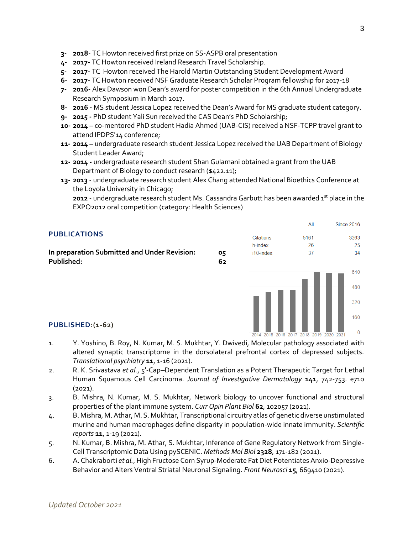- **3- 2018** TC Howton received first prize on SS-ASPB oral presentation
- **4- 2017-** TC Howton received Ireland Research Travel Scholarship.
- **5- 2017-** TC Howton received The Harold Martin Outstanding Student Development Award
- **6- 2017-** TC Howton received NSF Graduate Research Scholar Program fellowship for 2017-18
- **7- 2016-** Alex Dawson won Dean's award for poster competition in the 6th Annual Undergraduate Research Symposium in March 2017.
- **8- 2016 -** MS student Jessica Lopez received the Dean's Award for MS graduate student category.
- **9- 2015 -** PhD student Yali Sun received the CAS Dean's PhD Scholarship;
- **10- 2014 –** co-mentored PhD student Hadia Ahmed (UAB-CIS) received a NSF-TCPP travel grant to attend IPDPS'14 conference;
- **11- 2014 –** undergraduate research student Jessica Lopez received the UAB Department of Biology Student Leader Award;
- **12- 2014 -** undergraduate research student Shan Gulamani obtained a grant from the UAB Department of Biology to conduct research (\$422.11);
- **13- 2013** undergraduate research student Alex Chang attended National Bioethics Conference at the Loyola University in Chicago;

**2012** - undergraduate research student Ms. Cassandra Garbutt has been awarded 1<sup>st</sup> place in the EXPO2012 oral competition (category: Health Sciences)

### **PUBLICATIONS**

**In preparation Submitted and Under Revision: 05 Published: 62**



#### **PUBLISHED:(1-62)**

- 1. Y. Yoshino, B. Roy, N. Kumar, M. S. Mukhtar, Y. Dwivedi, Molecular pathology associated with altered synaptic transcriptome in the dorsolateral prefrontal cortex of depressed subjects. *Translational psychiatry* **11**, 1-16 (2021).
- 2. R. K. Srivastava *et al.*, 5'-Cap-Dependent Translation as a Potent Therapeutic Target for Lethal Human Squamous Cell Carcinoma. *Journal of Investigative Dermatology* **141**, 742-753. e710 (2021).
- 3. B. Mishra, N. Kumar, M. S. Mukhtar, Network biology to uncover functional and structural properties of the plant immune system. *Curr Opin Plant Biol* **62**, 102057 (2021).
- 4. B. Mishra, M. Athar, M. S. Mukhtar, Transcriptional circuitry atlas of genetic diverse unstimulated murine and human macrophages define disparity in population-wide innate immunity. *Scientific reports* **11**, 1-19 (2021).
- 5. N. Kumar, B. Mishra, M. Athar, S. Mukhtar, Inference of Gene Regulatory Network from Single-Cell Transcriptomic Data Using pySCENIC. *Methods Mol Biol* **2328**, 171-182 (2021).
- 6. A. Chakraborti *et al.*, High Fructose Corn Syrup-Moderate Fat Diet Potentiates Anxio-Depressive Behavior and Alters Ventral Striatal Neuronal Signaling. *Front Neurosci* **15**, 669410 (2021).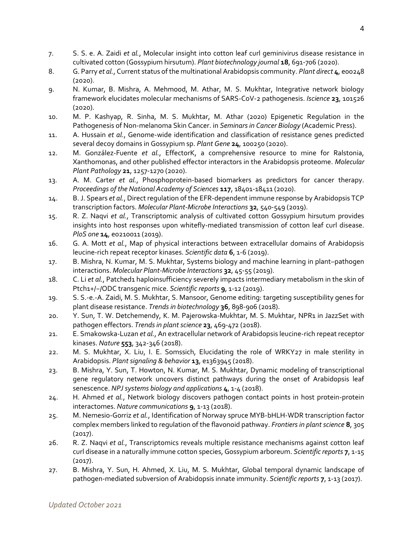- 7. S. S. e. A. Zaidi *et al.*, Molecular insight into cotton leaf curl geminivirus disease resistance in cultivated cotton (Gossypium hirsutum). *Plant biotechnology journal* **18**, 691-706 (2020).
- 8. G. Parry *et al.*, Current status of the multinational Arabidopsis community. *Plant direct* **4**, e00248 (2020).
- 9. N. Kumar, B. Mishra, A. Mehmood, M. Athar, M. S. Mukhtar, Integrative network biology framework elucidates molecular mechanisms of SARS-CoV-2 pathogenesis. *Iscience* **23**, 101526 (2020).
- 10. M. P. Kashyap, R. Sinha, M. S. Mukhtar, M. Athar (2020) Epigenetic Regulation in the Pathogenesis of Non-melanoma Skin Cancer. in *Seminars in Cancer Biology* (Academic Press).
- 11. A. Hussain *et al.*, Genome-wide identification and classification of resistance genes predicted several decoy domains in Gossypium sp. *Plant Gene* **24**, 100250 (2020).
- 12. M. González‐Fuente *et al.*, EffectorK, a comprehensive resource to mine for Ralstonia, Xanthomonas, and other published effector interactors in the Arabidopsis proteome. *Molecular Plant Pathology* **21**, 1257-1270 (2020).
- 13. A. M. Carter *et al.*, Phosphoprotein-based biomarkers as predictors for cancer therapy. *Proceedings of the National Academy of Sciences* **117**, 18401-18411 (2020).
- 14. B. J. Spears *et al.*, Direct regulation of the EFR-dependent immune response by Arabidopsis TCP transcription factors. *Molecular Plant-Microbe Interactions* **32**, 540-549 (2019).
- 15. R. Z. Naqvi *et al.*, Transcriptomic analysis of cultivated cotton Gossypium hirsutum provides insights into host responses upon whitefly-mediated transmission of cotton leaf curl disease. *PloS one* **14**, e0210011 (2019).
- 16. G. A. Mott *et al.*, Map of physical interactions between extracellular domains of Arabidopsis leucine-rich repeat receptor kinases. *Scientific data* **6**, 1-6 (2019).
- 17. B. Mishra, N. Kumar, M. S. Mukhtar, Systems biology and machine learning in plant–pathogen interactions. *Molecular Plant-Microbe Interactions* **32**, 45-55 (2019).
- 18. C. Li et al., Patched1 haploinsufficiency severely impacts intermediary metabolism in the skin of Ptch1+/−/ODC transgenic mice. *Scientific reports* **9**, 1-12 (2019).
- 19. S. S.-e.-A. Zaidi, M. S. Mukhtar, S. Mansoor, Genome editing: targeting susceptibility genes for plant disease resistance. *Trends in biotechnology* **36**, 898-906 (2018).
- 20. Y. Sun, T. W. Detchemendy, K. M. Pajerowska-Mukhtar, M. S. Mukhtar, NPR1 in JazzSet with pathogen effectors. *Trends in plant science* **23**, 469-472 (2018).
- 21. E. Smakowska-Luzan *et al.*, An extracellular network of Arabidopsis leucine-rich repeat receptor kinases. *Nature* **553**, 342-346 (2018).
- 22. M. S. Mukhtar, X. Liu, I. E. Somssich, Elucidating the role of WRKY27 in male sterility in Arabidopsis. *Plant signaling & behavior* **13**, e1363945 (2018).
- 23. B. Mishra, Y. Sun, T. Howton, N. Kumar, M. S. Mukhtar, Dynamic modeling of transcriptional gene regulatory network uncovers distinct pathways during the onset of Arabidopsis leaf senescence. *NPJ systems biology and applications* **4**, 1-4 (2018).
- 24. H. Ahmed *et al.*, Network biology discovers pathogen contact points in host protein-protein interactomes. *Nature communications* **9**, 1-13 (2018).
- 25. M. Nemesio-Gorriz *et al.*, Identification of Norway spruce MYB-bHLH-WDR transcription factor complex members linked to regulation of the flavonoid pathway. *Frontiers in plant science* **8**, 305 (2017).
- 26. R. Z. Naqvi *et al.*, Transcriptomics reveals multiple resistance mechanisms against cotton leaf curl disease in a naturally immune cotton species, Gossypium arboreum. *Scientific reports* **7**, 1-15 (2017).
- 27. B. Mishra, Y. Sun, H. Ahmed, X. Liu, M. S. Mukhtar, Global temporal dynamic landscape of pathogen-mediated subversion of Arabidopsis innate immunity. *Scientific reports* **7**, 1-13 (2017).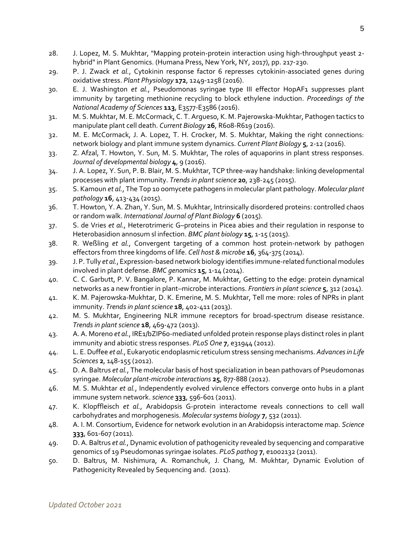- 28. J. Lopez, M. S. Mukhtar, "Mapping protein-protein interaction using high-throughput yeast 2 hybrid" in Plant Genomics. (Humana Press, New York, NY, 2017), pp. 217-230.
- 29. P. J. Zwack *et al.*, Cytokinin response factor 6 represses cytokinin-associated genes during oxidative stress. *Plant Physiology* **172**, 1249-1258 (2016).
- 30. E. J. Washington *et al.*, Pseudomonas syringae type III effector HopAF1 suppresses plant immunity by targeting methionine recycling to block ethylene induction. *Proceedings of the National Academy of Sciences* **113**, E3577-E3586 (2016).
- 31. M. S. Mukhtar, M. E. McCormack, C. T. Argueso, K. M. Pajerowska-Mukhtar, Pathogen tactics to manipulate plant cell death. *Current Biology* **26**, R608-R619 (2016).
- 32. M. E. McCormack, J. A. Lopez, T. H. Crocker, M. S. Mukhtar, Making the right connections: network biology and plant immune system dynamics. *Current Plant Biology* **5**, 2-12 (2016).
- 33. Z. Afzal, T. Howton, Y. Sun, M. S. Mukhtar, The roles of aquaporins in plant stress responses. *Journal of developmental biology* **4**, 9 (2016).
- 34. J. A. Lopez, Y. Sun, P. B. Blair, M. S. Mukhtar, TCP three-way handshake: linking developmental processes with plant immunity. *Trends in plant science* **20**, 238-245 (2015).
- 35. S. Kamoun *et al.*, The Top 10 oomycete pathogens in molecular plant pathology. *Molecular plant pathology* **16**, 413-434 (2015).
- 36. T. Howton, Y. A. Zhan, Y. Sun, M. S. Mukhtar, Intrinsically disordered proteins: controlled chaos or random walk. *International Journal of Plant Biology* **6** (2015).
- 37. S. de Vries *et al.*, Heterotrimeric G–proteins in Picea abies and their regulation in response to Heterobasidion annosum sl infection. *BMC plant biology* **15**, 1-15 (2015).
- 38. R. Weßling *et al.*, Convergent targeting of a common host protein-network by pathogen effectors from three kingdoms of life. *Cell host & microbe* **16**, 364-375 (2014).
- 39. J. P. Tully *et al.*, Expression-based network biology identifies immune-related functional modules involved in plant defense. *BMC genomics* **15**, 1-14 (2014).
- 40. C. C. Garbutt, P. V. Bangalore, P. Kannar, M. Mukhtar, Getting to the edge: protein dynamical networks as a new frontier in plant–microbe interactions. *Frontiers in plant science* **5**, 312 (2014).
- 41. K. M. Pajerowska-Mukhtar, D. K. Emerine, M. S. Mukhtar, Tell me more: roles of NPRs in plant immunity. *Trends in plant science* **18**, 402-411 (2013).
- 42. M. S. Mukhtar, Engineering NLR immune receptors for broad-spectrum disease resistance. *Trends in plant science* **18**, 469-472 (2013).
- 43. A. A. Moreno *et al.*, IRE1/bZIP60-mediated unfolded protein response plays distinct roles in plant immunity and abiotic stress responses. *PLoS One* **7**, e31944 (2012).
- 44. L. E. Duffee *et al.*, Eukaryotic endoplasmic reticulum stress sensing mechanisms. *Advances in Life Sciences* **2**, 148-155 (2012).
- 45. D. A. Baltrus *et al.*, The molecular basis of host specialization in bean pathovars of Pseudomonas syringae. *Molecular plant-microbe interactions* **25**, 877-888 (2012).
- 46. M. S. Mukhtar *et al.*, Independently evolved virulence effectors converge onto hubs in a plant immune system network. *science* **333**, 596-601 (2011).
- 47. K. Klopffleisch *et al.*, Arabidopsis G‐protein interactome reveals connections to cell wall carbohydrates and morphogenesis. *Molecular systems biology* **7**, 532 (2011).
- 48. A. I. M. Consortium, Evidence for network evolution in an Arabidopsis interactome map. *Science* **333**, 601-607 (2011).
- 49. D. A. Baltrus *et al.*, Dynamic evolution of pathogenicity revealed by sequencing and comparative genomics of 19 Pseudomonas syringae isolates. *PLoS pathog* **7**, e1002132 (2011).
- 50. D. Baltrus, M. Nishimura, A. Romanchuk, J. Chang, M. Mukhtar, Dynamic Evolution of Pathogenicity Revealed by Sequencing and. (2011).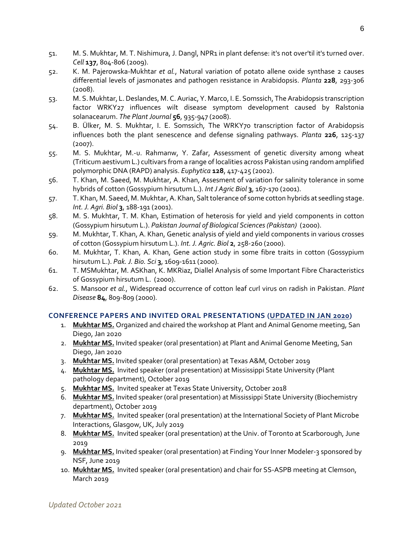- 51. M. S. Mukhtar, M. T. Nishimura, J. Dangl, NPR1 in plant defense: it's not over'til it's turned over. *Cell* **137**, 804-806 (2009).
- 52. K. M. Pajerowska-Mukhtar *et al.*, Natural variation of potato allene oxide synthase 2 causes differential levels of jasmonates and pathogen resistance in Arabidopsis. *Planta* **228**, 293-306 (2008).
- 53. M. S. Mukhtar, L. Deslandes, M. C. Auriac, Y. Marco, I. E. Somssich, The Arabidopsis transcription factor WRKY27 influences wilt disease symptom development caused by Ralstonia solanacearum. *The Plant Journal* **56**, 935-947 (2008).
- 54. B. Ülker, M. S. Mukhtar, I. E. Somssich, The WRKY70 transcription factor of Arabidopsis influences both the plant senescence and defense signaling pathways. *Planta* **226**, 125-137 (2007).
- 55. M. S. Mukhtar, M.-u. Rahmanw, Y. Zafar, Assessment of genetic diversity among wheat (Triticum aestivum L.) cultivars from a range of localities across Pakistan using random amplified polymorphic DNA (RAPD) analysis. *Euphytica* **128**, 417-425 (2002).
- 56. T. Khan, M. Saeed, M. Mukhtar, A. Khan, Assesment of variation for salinity tolerance in some hybrids of cotton (Gossypium hirsutum L.). *Int J Agric Biol* **3**, 167-170 (2001).
- 57. T. Khan, M. Saeed, M. Mukhtar, A. Khan, Salt tolerance of some cotton hybrids at seedling stage. *Int. J. Agri. Biol* **3**, 188-191 (2001).
- 58. M. S. Mukhtar, T. M. Khan, Estimation of heterosis for yield and yield components in cotton (Gossypium hirsutum L.). *Pakistan Journal of Biological Sciences (Pakistan)* (2000).
- 59. M. Mukhtar, T. Khan, A. Khan, Genetic analysis of yield and yield components in various crosses of cotton (Gossypium hirsutum L.). *Int. J. Agric. Biol* **2**, 258-260 (2000).
- 60. M. Mukhtar, T. Khan, A. Khan, Gene action study in some fibre traits in cotton (Gossypium hirsutum L.). *Pak. J. Bio. Sci* **3**, 1609-1611 (2000).
- 61. T. MSMukhtar, M. ASKhan, K. MKRiaz, Diallel Analysis of some Important Fibre Characteristics of Gossypium hirsutum L. (2000).
- 62. S. Mansoor *et al.*, Widespread occurrence of cotton leaf curl virus on radish in Pakistan. *Plant Disease* **84**, 809-809 (2000).

## **CONFERENCE PAPERS AND INVITED ORAL PRESENTATIONS (UPDATED IN JAN 2020)**

- 1. **Mukhtar MS.** Organized and chaired the workshop at Plant and Animal Genome meeting, San Diego, Jan 2020
- 2. **Mukhtar MS.** Invited speaker (oral presentation) at Plant and Animal Genome Meeting, San Diego, Jan 2020
- 3. **Mukhtar MS.** Invited speaker (oral presentation) at Texas A&M, October 2019
- 4. **Mukhtar MS.** Invited speaker (oral presentation) at Mississippi State University (Plant pathology department), October 2019
- 5. **Mukhtar MS.** Invited speaker at Texas State University, October 2018
- 6. **Mukhtar MS.** Invited speaker (oral presentation) at Mississippi State University (Biochemistry department), October 2019
- 7. **Mukhtar MS.** Invited speaker (oral presentation) at the International Society of Plant Microbe Interactions, Glasgow, UK, July 2019
- 8. **Mukhtar MS.** Invited speaker (oral presentation) at the Univ. of Toronto at Scarborough, June 2019
- 9. **Mukhtar MS.** Invited speaker (oral presentation) at Finding Your Inner Modeler-3 sponsored by NSF, June 2019
- 10. **Mukhtar MS.** Invited speaker (oral presentation) and chair for SS-ASPB meeting at Clemson, March 2019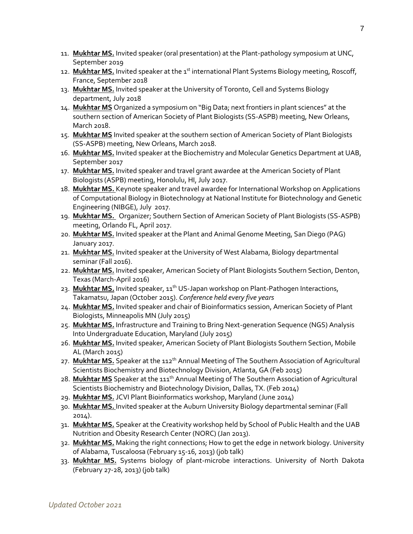- 11. **Mukhtar MS.** Invited speaker (oral presentation) at the Plant-pathology symposium at UNC, September 2019
- 12. Nukhtar MS. Invited speaker at the 1<sup>st</sup> international Plant Systems Biology meeting, Roscoff, France, September 2018
- 13. **Mukhtar MS.** Invited speaker at the University of Toronto, Cell and Systems Biology department, July 2018
- 14. **Mukhtar MS** Organized a symposium on "Big Data; next frontiers in plant sciences" at the southern section of American Society of Plant Biologists (SS-ASPB) meeting, New Orleans, March 2018.
- 15. **Mukhtar MS** Invited speaker at the southern section of American Society of Plant Biologists (SS-ASPB) meeting, New Orleans, March 2018.
- 16. **Mukhtar MS.** Invited speaker at the Biochemistry and Molecular Genetics Department at UAB, September 2017
- 17. **Mukhtar MS.** Invited speaker and travel grant awardee at the American Society of Plant Biologists (ASPB) meeting, Honolulu, HI, July 2017.
- 18. **Mukhtar MS.** Keynote speaker and travel awardee for International Workshop on Applications of Computational Biology in Biotechnology at National Institute for Biotechnology and Genetic Engineering (NIBGE), July 2017.
- 19. **Mukhtar MS.** Organizer; Southern Section of American Society of Plant Biologists (SS-ASPB) meeting, Orlando FL, April 2017.
- 20. **Mukhtar MS.** Invited speaker at the Plant and Animal Genome Meeting, San Diego (PAG) January 2017.
- 21. **Mukhtar MS.** Invited speaker at the University of West Alabama, Biology departmental seminar (Fall 2016).
- 22. **Mukhtar MS.** Invited speaker, American Society of Plant Biologists Southern Section, Denton, Texas (March-April 2016)
- 23. Mukhtar MS. Invited speaker, 11<sup>th</sup> US-Japan workshop on Plant-Pathogen Interactions, Takamatsu, Japan (October 2015). *Conference held every five years*
- 24. **Mukhtar MS.** Invited speaker and chair of Bioinformatics session, American Society of Plant Biologists, Minneapolis MN (July 2015)
- 25. **Mukhtar MS.** Infrastructure and Training to Bring Next-generation Sequence (NGS) Analysis Into Undergraduate Education, Maryland (July 2015)
- 26. **Mukhtar MS.** Invited speaker, American Society of Plant Biologists Southern Section, Mobile AL (March 2015)
- 27. Mukhtar MS. Speaker at the 112<sup>th</sup> Annual Meeting of The Southern Association of Agricultural Scientists Biochemistry and Biotechnology Division, Atlanta, GA (Feb 2015)
- 28. **Mukhtar MS** Speaker at the 111<sup>th</sup> Annual Meeting of The Southern Association of Agricultural Scientists Biochemistry and Biotechnology Division, Dallas, TX. (Feb 2014)
- 29. **Mukhtar MS.** JCVI Plant Bioinformatics workshop, Maryland (June 2014)
- 30. **Mukhtar MS.** Invited speaker at the Auburn University Biology departmental seminar (Fall 2014).
- 31. **Mukhtar MS.** Speaker at the Creativity workshop held by School of Public Health and the UAB Nutrition and Obesity Research Center (NORC) (Jan 2013).
- 32. **Mukhtar MS.** Making the right connections; How to get the edge in network biology. University of Alabama, Tuscaloosa (February 15-16, 2013) (job talk)
- 33. **Mukhtar MS.** Systems biology of plant-microbe interactions. University of North Dakota (February 27-28, 2013) (job talk)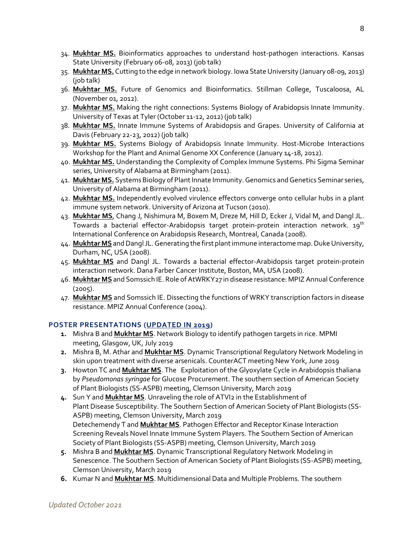- 34. **Mukhtar MS.** Bioinformatics approaches to understand host-pathogen interactions. Kansas State University (February 06-08, 2013) (job talk)
- 35. **Mukhtar MS.** Cutting to the edge in network biology. Iowa State University (January 08-09, 2013) (job talk)
- 36. **Mukhtar MS.** Future of Genomics and Bioinformatics. Stillman College, Tuscaloosa, AL (November 01, 2012).
- 37. **Mukhtar MS.** Making the right connections: Systems Biology of Arabidopsis Innate Immunity. University of Texas at Tyler (October 11-12, 2012) (job talk)
- 38. **Mukhtar MS.** Innate Immune Systems of Arabidopsis and Grapes. University of California at Davis (February 22-23, 2012) (job talk)
- 39. **Mukhtar MS.** Systems Biology of Arabidopsis Innate Immunity. Host-Microbe Interactions Workshop for the Plant and Animal Genome XX Conference (January 14-18, 2012).
- 40. **Mukhtar MS.** Understanding the Complexity of Complex Immune Systems. Phi Sigma Seminar series, University of Alabama at Birmingham (2011).
- 41. **Mukhtar MS.** Systems Biology of Plant Innate Immunity. Genomics and Genetics Seminar series, University of Alabama at Birmingham (2011).
- 42. **Mukhtar MS.** Independently evolved virulence effectors converge onto cellular hubs in a plant immune system network. University of Arizona at Tucson (2010).
- 43. **Mukhtar MS**, Chang J, Nishimura M, Boxem M, Dreze M, Hill D, Ecker J, Vidal M, and Dangl JL. Towards a bacterial effector-Arabidopsis target protein-protein interaction network. 19<sup>th</sup> International Conference on Arabidopsis Research, Montreal, Canada (2008).
- 44. **Mukhtar MS** and Dangl JL.Generating the first plant immune interactome map. Duke University, Durham, NC, USA (2008).
- 45. **Mukhtar MS** and Dangl JL. Towards a bacterial effector-Arabidopsis target protein-protein interaction network. Dana Farber Cancer Institute, Boston, MA, USA (2008).
- 46. **Mukhtar MS** and Somssich IE. Role of AtWRKY27 in disease resistance: MPIZ Annual Conference (2005).
- 47. **Mukhtar MS** and Somssich IE. Dissecting the functions of WRKY transcription factors in disease resistance. MPIZ Annual Conference (2004).

## **POSTER PRESENTATIONS (UPDATED IN 2019)**

- **1.** Mishra B and **Mukhtar MS**. Network Biology to identify pathogen targets in rice. MPMI meeting, Glasgow, UK, July 2019
- **2.** Mishra B, M. Athar and **Mukhtar MS**. Dynamic Transcriptional Regulatory Network Modeling in skin upon treatment with diverse arsenicals. CounterACT meeting New York, June 2019
- **3.** Howton TC and **Mukhtar MS**. The Exploitation of the Glyoxylate Cycle in Arabidopsis thaliana by *Pseudomonas syringae* for Glucose Procurement. The southern section of American Society of Plant Biologists (SS-ASPB) meeting, Clemson University, March 2019
- **4.** Sun Y and **Mukhtar MS**. Unraveling the role of ATVI2 in the Establishment of Plant Disease Susceptibility. The Southern Section of American Society of Plant Biologists (SS-ASPB) meeting, Clemson University, March 2019 Detechemendy T and **Mukhtar MS**. Pathogen Effector and Receptor Kinase Interaction Screening Reveals Novel Innate Immune System Players. The Southern Section of American Society of Plant Biologists (SS-ASPB) meeting, Clemson University, March 2019
- **5.** Mishra B and **Mukhtar MS**. Dynamic Transcriptional Regulatory Network Modeling in Senescence. The Southern Section of American Society of Plant Biologists (SS-ASPB) meeting, Clemson University, March 2019
- **6.** Kumar N and **Mukhtar MS**. Multidimensional Data and Multiple Problems. The southern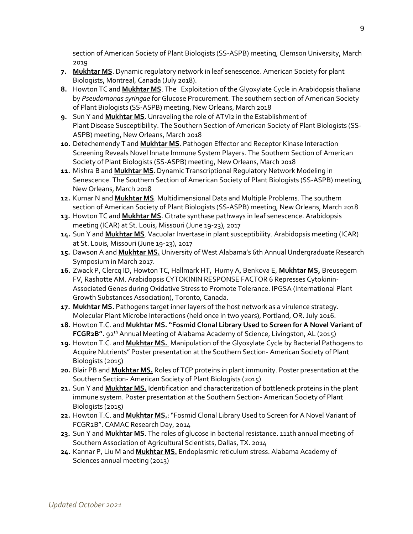section of American Society of Plant Biologists (SS-ASPB) meeting, Clemson University, March 2019

- **7. Mukhtar MS**. Dynamic regulatory network in leaf senescence. American Society for plant Biologists, Montreal, Canada (July 2018).
- **8.** Howton TC and **Mukhtar MS**. The Exploitation of the Glyoxylate Cycle in Arabidopsis thaliana by *Pseudomonas syringae* for Glucose Procurement. The southern section of American Society of Plant Biologists (SS-ASPB) meeting, New Orleans, March 2018
- **9.** Sun Y and **Mukhtar MS**. Unraveling the role of ATVI2 in the Establishment of Plant Disease Susceptibility. The Southern Section of American Society of Plant Biologists (SS-ASPB) meeting, New Orleans, March 2018
- **10.** Detechemendy T and **Mukhtar MS**. Pathogen Effector and Receptor Kinase Interaction Screening Reveals Novel Innate Immune System Players. The Southern Section of American Society of Plant Biologists (SS-ASPB) meeting, New Orleans, March 2018
- **11.** Mishra B and **Mukhtar MS**. Dynamic Transcriptional Regulatory Network Modeling in Senescence. The Southern Section of American Society of Plant Biologists (SS-ASPB) meeting, New Orleans, March 2018
- **12.** Kumar N and **Mukhtar MS**. Multidimensional Data and Multiple Problems. The southern section of American Society of Plant Biologists (SS-ASPB) meeting, New Orleans, March 2018
- **13.** Howton TC and **Mukhtar MS**. Citrate synthase pathways in leaf senescence. Arabidopsis meeting (ICAR) at St. Louis, Missouri (June 19-23), 2017
- **14.** Sun Y and **Mukhtar MS**. Vacuolar Invertase in plant susceptibility. Arabidopsis meeting (ICAR) at St. Louis, Missouri (June 19-23), 2017
- **15.** Dawson A and **Mukhtar MS.** University of West Alabama's 6th Annual Undergraduate Research Symposium in March 2017.
- **16.** Zwack P, Clercq ID, Howton TC, Hallmark HT, Hurny A, Benkova E, **Mukhtar MS,** Breusegem FV, Rashotte AM. Arabidopsis CYTOKININ RESPONSE FACTOR 6 Represses Cytokinin-Associated Genes during Oxidative Stress to Promote Tolerance. IPGSA (International Plant Growth Substances Association), Toronto, Canada.
- **17. Mukhtar MS.** Pathogens target inner layers of the host network as a virulence strategy. Molecular Plant Microbe Interactions (held once in two years), Portland, OR. July 2016.
- **18.** Howton T.C. and **Mukhtar MS. "Fosmid Clonal Library Used to Screen for A Novel Variant of**  FCGR2B". 92<sup>th</sup> Annual Meeting of Alabama Academy of Science, Livingston, AL (2015)
- **19.** Howton T.C. and **Mukhtar MS.** Manipulation of the Glyoxylate Cycle by Bacterial Pathogens to Acquire Nutrients" Poster presentation at the Southern Section- American Society of Plant Biologists (2015)
- **20.** Blair PB and **Mukhtar MS.** Roles of TCP proteins in plant immunity. Poster presentation at the Southern Section- American Society of Plant Biologists (2015)
- **21.** Sun Y and **Mukhtar MS.** Identification and characterization of bottleneck proteins in the plant immune system. Poster presentation at the Southern Section- American Society of Plant Biologists (2015)
- **22.** Howton T.C. and **Mukhtar MS.**: "Fosmid Clonal Library Used to Screen for A Novel Variant of FCGR2B". CAMAC Research Day, 2014
- **23.** Sun Y and **Mukhtar MS**. The roles of glucose in bacterial resistance. 111th annual meeting of Southern Association of Agricultural Scientists, Dallas, TX. 2014
- **24.** Kannar P, Liu M and **Mukhtar MS.** Endoplasmic reticulum stress. Alabama Academy of Sciences annual meeting (2013)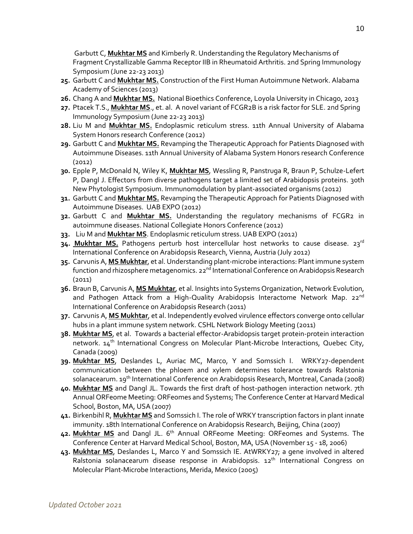Garbutt C, **Mukhtar MS** and Kimberly R. Understanding the Regulatory Mechanisms of Fragment Crystallizable Gamma Receptor IIB in Rheumatoid Arthritis. 2nd Spring Immunology Symposium (June 22-23 2013)

- **25.** Garbutt C and **Mukhtar MS.** Construction of the First Human Autoimmune Network. Alabama Academy of Sciences (2013)
- **26.** Chang A and **Mukhtar MS.** National Bioethics Conference, Loyola University in Chicago, 2013
- **27.** Ptacek T.S., **Mukhtar MS**., et. al. A novel variant of FCGR2B is a risk factor for SLE. 2nd Spring Immunology Symposium (June 22-23 2013)
- **28.** Liu M and **Mukhtar MS.** Endoplasmic reticulum stress. 11th Annual University of Alabama System Honors research Conference (2012)
- **29.** Garbutt C and **Mukhtar MS.** Revamping the Therapeutic Approach for Patients Diagnosed with Autoimmune Diseases. 11th Annual University of Alabama System Honors research Conference (2012)
- **30.** Epple P, McDonald N, Wiley K, **Mukhtar MS**, Wessling R, Panstruga R, Braun P, Schulze-Lefert P, Dangl J. Effectors from diverse pathogens target a limited set of Arabidopsis proteins. 30th New Phytologist Symposium. Immunomodulation by plant-associated organisms (2012)
- **31.** Garbutt C and **Mukhtar MS.** Revamping the Therapeutic Approach for Patients Diagnosed with Autoimmune Diseases. UAB EXPO (2012)
- **32.** Garbutt C and **Mukhtar MS.** Understanding the regulatory mechanisms of FCGR2 in autoimmune diseases. National Collegiate Honors Conference (2012)
- **33.** Liu M and **Mukhtar MS**. Endoplasmic reticulum stress. UAB EXPO (2012)
- 34. Mukhtar MS. Pathogens perturb host intercellular host networks to cause disease. 23rd International Conference on Arabidopsis Research, Vienna, Austria (July 2012)
- **35.** Carvunis A, **MS Mukhtar**, et al. Understanding plant-microbe interactions: Plant immune system function and rhizosphere metagenomics. 22<sup>nd</sup> International Conference on Arabidopsis Research (2011)
- **36.** Braun B, Carvunis A, **MS Mukhtar**, et al. Insights into Systems Organization, Network Evolution, and Pathogen Attack from a High-Quality Arabidopsis Interactome Network Map. 22<sup>nd</sup> International Conference on Arabidopsis Research (2011)
- **37.** Carvunis A, **MS Mukhtar**, et al. Independently evolved virulence effectors converge onto cellular hubs in a plant immune system network. CSHL Network Biology Meeting (2011)
- **38. Mukhtar MS**, et al. Towards a bacterial effector-Arabidopsis target protein-protein interaction network. 14<sup>th</sup> International Congress on Molecular Plant-Microbe Interactions, Quebec City, Canada (2009)
- **39. Mukhtar MS**, Deslandes L, Auriac MC, Marco, Y and Somssich I. WRKY27-dependent communication between the phloem and xylem determines tolerance towards Ralstonia solanacearum. 19<sup>th</sup> International Conference on Arabidopsis Research, Montreal, Canada (2008)
- **40. Mukhtar MS** and Dangl JL. Towards the first draft of host-pathogen interaction network. 7th Annual ORFeome Meeting: ORFeomes and Systems; The Conference Center at Harvard Medical School, Boston, MA, USA (2007)
- **41.** Birkenbihl R, **Mukhtar MS** and Somssich I. The role of WRKY transcription factors in plant innate immunity. 18th International Conference on Arabidopsis Research, Beijing, China (2007)
- 42. Mukhtar MS and Dangl JL. 6<sup>th</sup> Annual ORFeome Meeting: ORFeomes and Systems. The Conference Center at Harvard Medical School, Boston, MA, USA (November 15 - 18, 2006)
- **43. Mukhtar MS**, Deslandes L, Marco Y and Somssich IE. AtWRKY27; a gene involved in altered Ralstonia solanacearum disease response in Arabidopsis. 12<sup>th</sup> International Congress on Molecular Plant-Microbe Interactions, Merida, Mexico (2005)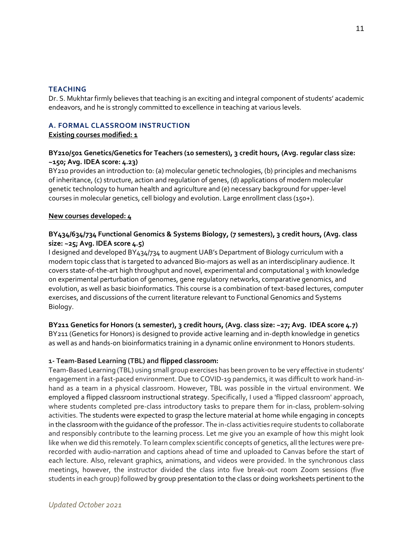#### **TEACHING**

Dr. S. Mukhtar firmly believes that teaching is an exciting and integral component of students' academic endeavors, and he is strongly committed to excellence in teaching at various levels.

### **A. FORMAL CLASSROOM INSTRUCTION**

**Existing courses modified: 1**

## **BY210/501 Genetics/Genetics for Teachers (10 semesters), 3 credit hours, (Avg. regular class size: ~150; Avg. IDEA score: 4.23)**

BY210 provides an introduction to: (a) molecular genetic technologies, (b) principles and mechanisms of inheritance, (c) structure, action and regulation of genes, (d) applications of modern molecular genetic technology to human health and agriculture and (e) necessary background for upper-level courses in molecular genetics, cell biology and evolution. Large enrollment class (150+).

#### **New courses developed: 4**

## **BY434/634/734 Functional Genomics & Systems Biology, (7 semesters), 3 credit hours, (Avg. class size: ~25; Avg. IDEA score 4.5)**

I designed and developed BY434/734 to augment UAB's Department of Biology curriculum with a modern topic class that is targeted to advanced Bio-majors as well as an interdisciplinary audience. It covers state-of-the-art high throughput and novel, experimental and computational 3 with knowledge on experimental perturbation of genomes, gene regulatory networks, comparative genomics, and evolution, as well as basic bioinformatics. This course is a combination of text-based lectures, computer exercises, and discussions of the current literature relevant to Functional Genomics and Systems Biology.

**BY211 Genetics for Honors (1 semester), 3 credit hours, (Avg. class size: ~27; Avg. IDEA score 4.7)** BY211 (Genetics for Honors) is designed to provide active learning and in-depth knowledge in genetics as well as and hands-on bioinformatics training in a dynamic online environment to Honors students.

## **1- Team-Based Learning (TBL) and flipped classroom:**

Team-Based Learning (TBL) using small group exercises has been proven to be very effective in students' engagement in a fast-paced environment. Due to COVID-19 pandemics, it was difficult to work hand-inhand as a team in a physical classroom. However, TBL was possible in the virtual environment. We employed a flipped classroom instructional strategy. Specifically, I used a 'flipped classroom' approach, where students completed pre-class introductory tasks to prepare them for in-class, problem-solving activities. The students were expected to grasp the lecture material at home while engaging in concepts in the classroom with the guidance of the professor. The in-class activities require students to collaborate and responsibly contribute to the learning process. Let me give you an example of how this might look like when we did this remotely. To learn complex scientific concepts of genetics, all the lectures were prerecorded with audio-narration and captions ahead of time and uploaded to Canvas before the start of each lecture. Also, relevant graphics, animations, and videos were provided. In the synchronous class meetings, however, the instructor divided the class into five break-out room Zoom sessions (five students in each group) followed by group presentation to the class or doing worksheets pertinent to the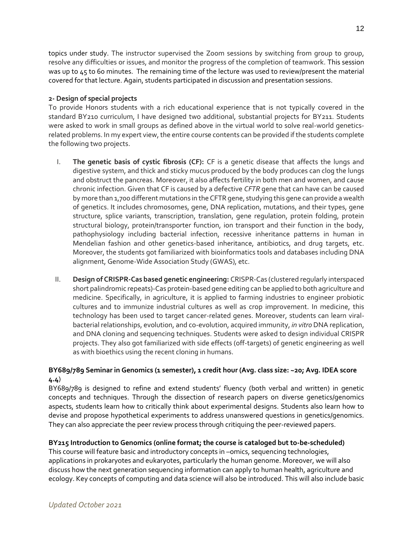topics under study. The instructor supervised the Zoom sessions by switching from group to group, resolve any difficulties or issues, and monitor the progress of the completion of teamwork. This session was up to 45 to 60 minutes. The remaining time of the lecture was used to review/present the material covered for that lecture. Again, students participated in discussion and presentation sessions.

## **2- Design of special projects**

To provide Honors students with a rich educational experience that is not typically covered in the standard BY210 curriculum, I have designed two additional, substantial projects for BY211. Students were asked to work in small groups as defined above in the virtual world to solve real-world geneticsrelated problems. In my expert view, the entire course contents can be provided if the students complete the following two projects.

- I. **The genetic basis of cystic fibrosis (CF):** CF is a genetic disease that affects the lungs and digestive system, and thick and sticky mucus produced by the body produces can clog the lungs and obstruct the pancreas. Moreover, it also affects fertility in both men and women, and cause chronic infection. Given that CF is caused by a defective *CFTR* gene that can have can be caused by more than 1,700 different mutations in the CFTR gene, studying this gene can provide a wealth of genetics. It includes chromosomes, gene, DNA replication, mutations, and their types, gene structure, splice variants, transcription, translation, gene regulation, protein folding, protein structural biology, protein/transporter function, ion transport and their function in the body, pathophysiology including bacterial infection, recessive inheritance patterns in human in Mendelian fashion and other genetics-based inheritance, antibiotics, and drug targets, etc. Moreover, the students got familiarized with bioinformatics tools and databases including DNA alignment, Genome-Wide Association Study (GWAS), etc.
- II. **Design of CRISPR-Cas based genetic engineering:** CRISPR-Cas (clustered regularly interspaced short palindromic repeats)-Cas protein-based gene editing can be applied to both agriculture and medicine. Specifically, in agriculture, it is applied to farming industries to engineer probiotic cultures and to immunize industrial cultures as well as crop improvement. In medicine, this technology has been used to target cancer-related genes. Moreover, students can learn viralbacterial relationships, evolution, and co-evolution, acquired immunity, *in vitro* DNA replication, and DNA cloning and sequencing techniques. Students were asked to design individual CRISPR projects. They also got familiarized with side effects (off-targets) of genetic engineering as well as with bioethics using the recent cloning in humans.

## **BY689/789 Seminar in Genomics (1 semester), 1 credit hour (Avg. class size: ~20; Avg. IDEA score 4.4**)

BY689/789 is designed to refine and extend students' fluency (both verbal and written) in genetic concepts and techniques. Through the dissection of research papers on diverse genetics/genomics aspects, students learn how to critically think about experimental designs. Students also learn how to devise and propose hypothetical experiments to address unanswered questions in genetics/genomics. They can also appreciate the peer review process through critiquing the peer-reviewed papers.

## **BY215 Introduction to Genomics (online format; the course is cataloged but to-be-scheduled)**

This course will feature basic and introductory concepts in –omics, sequencing technologies, applications in prokaryotes and eukaryotes, particularly the human genome. Moreover, we will also discuss how the next generation sequencing information can apply to human health, agriculture and ecology. Key concepts of computing and data science will also be introduced. This will also include basic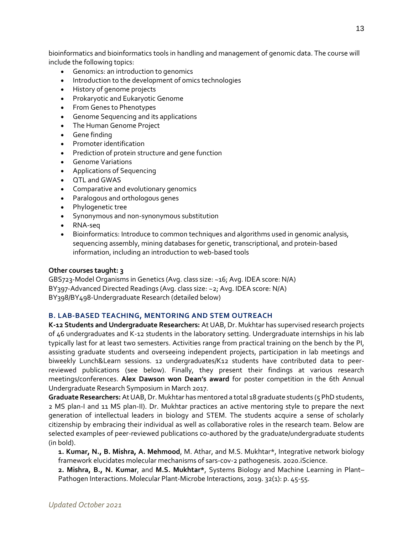bioinformatics and bioinformatics tools in handling and management of genomic data. The course will include the following topics:

- Genomics: an introduction to genomics
- Introduction to the development of omics technologies
- History of genome projects
- Prokaryotic and Eukaryotic Genome
- From Genes to Phenotypes
- Genome Sequencing and its applications
- The Human Genome Project
- Gene finding
- Promoter identification
- Prediction of protein structure and gene function
- Genome Variations
- Applications of Sequencing
- QTL and GWAS
- Comparative and evolutionary genomics
- Paralogous and orthologous genes
- Phylogenetic tree
- Synonymous and non-synonymous substitution
- RNA-seq
- Bioinformatics: Introduce to common techniques and algorithms used in genomic analysis, sequencing assembly, mining databases for genetic, transcriptional, and protein-based information, including an introduction to web-based tools

#### **Other courses taught: 3**

GBS723-Model Organisms in Genetics (Avg. class size: ~16; Avg. IDEA score: N/A) BY397-Advanced Directed Readings (Avg. class size: ~2; Avg. IDEA score: N/A) BY398/BY498-Undergraduate Research (detailed below)

#### **B. LAB-BASED TEACHING, MENTORING AND STEM OUTREACH**

**K-12 Students and Undergraduate Researchers:** At UAB, Dr. Mukhtar has supervised research projects of 46 undergraduates and K-12 students in the laboratory setting. Undergraduate internships in his lab typically last for at least two semesters. Activities range from practical training on the bench by the PI, assisting graduate students and overseeing independent projects, participation in lab meetings and biweekly Lunch&Learn sessions. 12 undergraduates/K12 students have contributed data to peerreviewed publications (see below). Finally, they present their findings at various research meetings/conferences. **Alex Dawson won Dean's award** for poster competition in the 6th Annual Undergraduate Research Symposium in March 2017.

**Graduate Researchers:** At UAB, Dr. Mukhtar has mentored a total 18 graduate students (5 PhD students, 2 MS plan-I and 11 MS plan-II). Dr. Mukhtar practices an active mentoring style to prepare the next generation of intellectual leaders in biology and STEM. The students acquire a sense of scholarly citizenship by embracing their individual as well as collaborative roles in the research team. Below are selected examples of peer-reviewed publications co-authored by the graduate/undergraduate students (in bold).

**1. Kumar, N., B. Mishra, A. Mehmood**, M. Athar, and M.S. Mukhtar\*, Integrative network biology framework elucidates molecular mechanisms of sars-cov-2 pathogenesis. 2020.iScience.

**2. Mishra, B., N. Kumar**, and **M.S. Mukhtar\***, Systems Biology and Machine Learning in Plant– Pathogen Interactions. Molecular Plant-Microbe Interactions, 2019. 32(1): p. 45-55.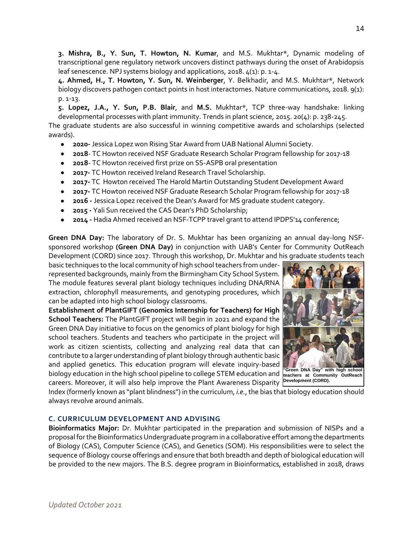**3. Mishra, B., Y. Sun, T. Howton, N. Kumar**, and M.S. Mukhtar\*, Dynamic modeling of transcriptional gene regulatory network uncovers distinct pathways during the onset of Arabidopsis leaf senescence. NPJ systems biology and applications, 2018. 4(1): p. 1-4.

**4. Ahmed, H., T. Howton, Y. Sun, N. Weinberger**, Y. Belkhadir, and M.S. Mukhtar\*, Network biology discovers pathogen contact points in host interactomes. Nature communications, 2018. 9(1): p. 1-13.

**5. Lopez, J.A., Y. Sun, P.B. Blair**, and **M.S.** Mukhtar\*, TCP three-way handshake: linking developmental processes with plant immunity. Trends in plant science, 2015. 20(4): p. 238-245.

The graduate students are also successful in winning competitive awards and scholarships (selected awards).

- **2020-** Jessica Lopez won Rising Star Award from UAB National Alumni Society.
- **2018** TC Howton received NSF Graduate Research Scholar Program fellowship for 2017-18
- **2018** TC Howton received first prize on SS-ASPB oral presentation
- **2017-** TC Howton received Ireland Research Travel Scholarship.
- **2017-** TC Howton received The Harold Martin Outstanding Student Development Award
- **2017-** TC Howton received NSF Graduate Research Scholar Program fellowship for 2017-18
- **2016 -** Jessica Lopez received the Dean's Award for MS graduate student category.
- **2015 -** Yali Sun received the CAS Dean's PhD Scholarship;
- **2014 -** Hadia Ahmed received an NSF-TCPP travel grant to attend IPDPS'14 conference;

**Green DNA Day:** The laboratory of Dr. S. Mukhtar has been organizing an annual day-long NSFsponsored workshop **(Green DNA Day)** in conjunction with UAB's Center for Community OutReach Development (CORD) since 2017. Through this workshop, Dr. Mukhtar and his graduate students teach

basic techniques to the local community of high school teachers from underrepresented backgrounds, mainly from the Birmingham City School System. The module features several plant biology techniques including DNA/RNA extraction, chlorophyll measurements, and genotyping procedures, which can be adapted into high school biology classrooms.

**Establishment of PlantGIFT (Genomics Internship for Teachers) for High School Teachers:** The PlantGIFT project will begin in 2021 and expand the Green DNA Day initiative to focus on the genomics of plant biology for high school teachers. Students and teachers who participate in the project will work as citizen scientists, collecting and analyzing real data that can contribute to a larger understanding of plant biology through authentic basic and applied genetics. This education program will elevate inquiry-based biology education in the high school pipeline to college STEM education and careers. Moreover, it will also help improve the Plant Awareness Disparity **Development (CORD).**



Index (formerly known as "plant blindness") in the curriculum, *i.e.*, the bias that biology education should always revolve around animals.

## **C. CURRICULUM DEVELOPMENT AND ADVISING**

**Bioinformatics Major:** Dr. Mukhtar participated in the preparation and submission of NISPs and a proposal for the Bioinformatics Undergraduate program in a collaborative effort among the departments of Biology (CAS), Computer Science (CAS), and Genetics (SOM). His responsibilities were to select the sequence of Biology course offerings and ensure that both breadth and depth of biological education will be provided to the new majors. The B.S. degree program in Bioinformatics, established in 2018, draws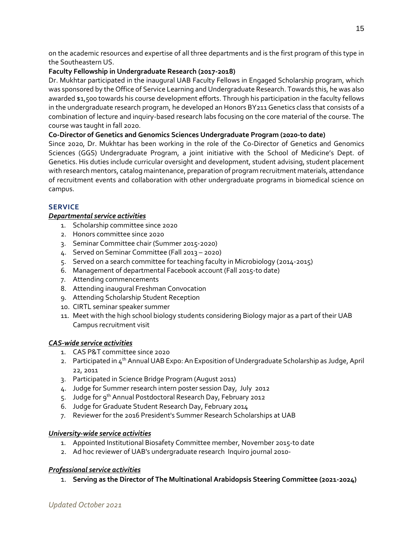on the academic resources and expertise of all three departments and is the first program of this type in the Southeastern US.

## **Faculty Fellowship in Undergraduate Research (2017-2018)**

Dr. Mukhtar participated in the inaugural UAB Faculty Fellows in Engaged Scholarship program, which was sponsored by the Office of Service Learning and Undergraduate Research. Towards this, he was also awarded \$1,500 towards his course development efforts. Through his participation in the faculty fellows in the undergraduate research program, he developed an Honors BY211 Genetics class that consists of a combination of lecture and inquiry-based research labs focusing on the core material of the course. The course was taught in fall 2020.

## **Co-Director of Genetics and Genomics Sciences Undergraduate Program (2020-to date)**

Since 2020, Dr. Mukhtar has been working in the role of the Co-Director of Genetics and Genomics Sciences (GGS) Undergraduate Program, a joint initiative with the School of Medicine's Dept. of Genetics. His duties include curricular oversight and development, student advising, student placement with research mentors, catalog maintenance, preparation of program recruitment materials, attendance of recruitment events and collaboration with other undergraduate programs in biomedical science on campus.

## **SERVICE**

## *Departmental service activities*

- 1. Scholarship committee since 2020
- 2. Honors committee since 2020
- 3. Seminar Committee chair (Summer 2015-2020)
- 4. Served on Seminar Committee (Fall 2013 2020)
- 5. Served on a search committee for teaching faculty in Microbiology (2014-2015)
- 6. Management of departmental Facebook account (Fall 2015-to date)
- 7. Attending commencements
- 8. Attending inaugural Freshman Convocation
- 9. Attending Scholarship Student Reception
- 10. CIRTL seminar speaker summer
- 11. Meet with the high school biology students considering Biology major as a part of their UAB Campus recruitment visit

# *CAS-wide service activities*

- 1. CAS P&T committee since 2020
- 2. Participated in 4<sup>th</sup> Annual UAB Expo: An Exposition of Undergraduate Scholarship as Judge, April 22, 2011
- 3. Participated in Science Bridge Program (August 2011)
- 4. Judge for Summer research intern poster session Day, July 2012
- 5. Judge for 9<sup>th</sup> Annual Postdoctoral Research Day, February 2012
- 6. Judge for Graduate Student Research Day, February 2014
- 7. Reviewer for the 2016 President's Summer Research Scholarships at UAB

# *University-wide service activities*

- 1. Appointed Institutional Biosafety Committee member, November 2015-to date
- 2. Ad hoc reviewer of UAB's undergraduate research Inquiro journal 2010-

## *Professional service activities*

1. **Serving as the Director of The Multinational Arabidopsis Steering Committee (2021-2024)**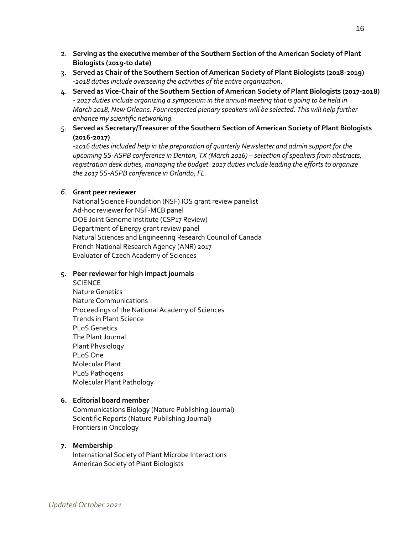- 2. **Serving as the executive member of the Southern Section of the American Society of Plant Biologists (2019-to date)**
- 3. **Served as Chair of the Southern Section of American Society of Plant Biologists (2018-2019) -***2018 duties include overseeing the activities of the entire organization***.**
- 4. **Served as Vice-Chair of the Southern Section of American Society of Plant Biologists (2017-2018)** *- 2017 duties include organizing a symposium in the annual meeting that is going to be held in March 2018, New Orleans. Four respected plenary speakers will be selected. This will help further enhance my scientific networking.*
- 5. **Served as Secretary/Treasurer of the Southern Section of American Society of Plant Biologists (2016-2017)**

*-2016 duties included help in the preparation of quarterly Newsletter and admin support for the upcoming SS-ASPB conference in Denton, TX (March 2016) – selection of speakers from abstracts, registration desk duties, managing the budget. 2017 duties include leading the efforts to organize the 2017 SS-ASPB conference in Orlando, FL.* 

#### *6.* **Grant peer reviewer**

National Science Foundation (NSF) IOS grant review panelist Ad-hoc reviewer for NSF-MCB panel DOE Joint Genome Institute (CSP17 Review) Department of Energy grant review panel Natural Sciences and Engineering Research Council of Canada French National Research Agency (ANR) 2017 Evaluator of Czech Academy of Sciences

#### **5. Peer reviewer for high impact journals**

**SCIENCE** Nature Genetics Nature Communications Proceedings of the National Academy of Sciences Trends in Plant Science PLoS Genetics The Plant Journal Plant Physiology PLoS One Molecular Plant PLoS Pathogens Molecular Plant Pathology

### **6. Editorial board member**

Communications Biology (Nature Publishing Journal) Scientific Reports (Nature Publishing Journal) Frontiers in Oncology

#### **7. Membership**

International Society of Plant Microbe Interactions American Society of Plant Biologists